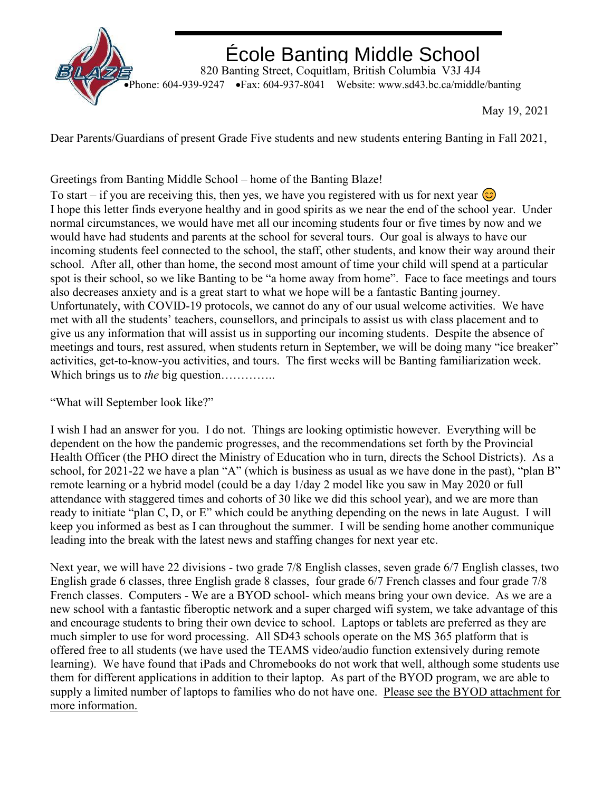

## École Banting Middle School

 820 Banting Street, Coquitlam, British Columbia V3J 4J4 •Phone: 604-939-9247 •Fax: 604-937-8041 Website: www.sd43.bc.ca/middle/banting

May 19, 2021

Dear Parents/Guardians of present Grade Five students and new students entering Banting in Fall 2021,

Greetings from Banting Middle School – home of the Banting Blaze!

To start – if you are receiving this, then yes, we have you registered with us for next year  $\circledcirc$ I hope this letter finds everyone healthy and in good spirits as we near the end of the school year. Under normal circumstances, we would have met all our incoming students four or five times by now and we would have had students and parents at the school for several tours. Our goal is always to have our incoming students feel connected to the school, the staff, other students, and know their way around their school. After all, other than home, the second most amount of time your child will spend at a particular spot is their school, so we like Banting to be "a home away from home". Face to face meetings and tours also decreases anxiety and is a great start to what we hope will be a fantastic Banting journey. Unfortunately, with COVID-19 protocols, we cannot do any of our usual welcome activities. We have met with all the students' teachers, counsellors, and principals to assist us with class placement and to give us any information that will assist us in supporting our incoming students. Despite the absence of meetings and tours, rest assured, when students return in September, we will be doing many "ice breaker" activities, get-to-know-you activities, and tours. The first weeks will be Banting familiarization week. Which brings us to *the* big question…………..

"What will September look like?"

I wish I had an answer for you. I do not. Things are looking optimistic however. Everything will be dependent on the how the pandemic progresses, and the recommendations set forth by the Provincial Health Officer (the PHO direct the Ministry of Education who in turn, directs the School Districts). As a school, for 2021-22 we have a plan "A" (which is business as usual as we have done in the past), "plan B" remote learning or a hybrid model (could be a day 1/day 2 model like you saw in May 2020 or full attendance with staggered times and cohorts of 30 like we did this school year), and we are more than ready to initiate "plan C, D, or E" which could be anything depending on the news in late August. I will keep you informed as best as I can throughout the summer. I will be sending home another communique leading into the break with the latest news and staffing changes for next year etc.

Next year, we will have 22 divisions - two grade 7/8 English classes, seven grade 6/7 English classes, two English grade 6 classes, three English grade 8 classes, four grade 6/7 French classes and four grade 7/8 French classes. Computers - We are a BYOD school- which means bring your own device. As we are a new school with a fantastic fiberoptic network and a super charged wifi system, we take advantage of this and encourage students to bring their own device to school. Laptops or tablets are preferred as they are much simpler to use for word processing. All SD43 schools operate on the MS 365 platform that is offered free to all students (we have used the TEAMS video/audio function extensively during remote learning). We have found that iPads and Chromebooks do not work that well, although some students use them for different applications in addition to their laptop. As part of the BYOD program, we are able to supply a limited number of laptops to families who do not have one. Please see the BYOD attachment for more information.